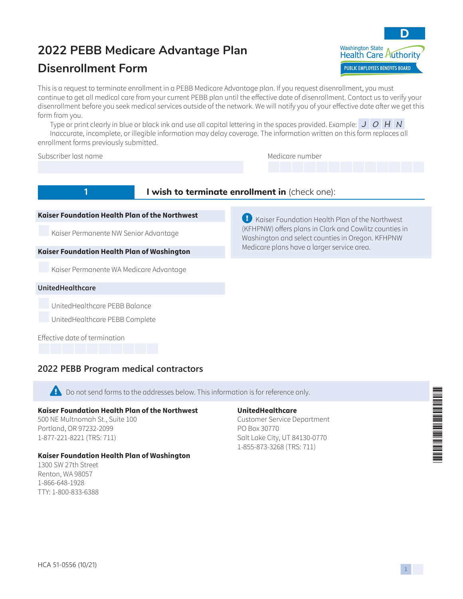# **2022 PEBB Medicare Advantage Plan**

## **Disenrollment Form**



This is a request to terminate enrollment in a PEBB Medicare Advantage plan. If you request disenrollment, you must continue to get all medical care from your current PEBB plan until the effective date of disenrollment. Contact us to verify your disenrollment before you seek medical services outside of the network. We will notify you of your effective date after we get this form from you.

Type or print clearly in blue or black ink and use all capital lettering in the spaces provided. Example:  $J/O/H/N$ 

Inaccurate, incomplete, or illegible information may delay coverage. The information written on this form replaces all enrollment forms previously submitted.

#### Subscriber last name Medicare number and Medicare number

## **1 I** wish to terminate enrollment in (check one):

#### **Kaiser Foundation Health Plan of the Northwest**

Kaiser Permanente NW Senior Advantage

#### **Kaiser Foundation Health Plan of Washington**

Kaiser Permanente WA Medicare Advantage

#### **UnitedHealthcare**

UnitedHealthcare PEBB Balance

UnitedHealthcare PEBB Complete

Effective date of termination

## **2022 PEBB Program medical contractors**

**Ex** Do not send forms to the addresses below. This information is for reference only.

#### **Kaiser Foundation Health Plan of the Northwest**

500 NE Multnomah St., Suite 100 Portland, OR 97232-2099 1-877-221-8221 (TRS: 711)

#### **Kaiser Foundation Health Plan of Washington**

1300 SW 27th Street Renton, WA 98057 1-866-648-1928 TTY: 1-800-833-6388

#### **UnitedHealthcare**

Customer Service Department PO Box 30770 Salt Lake City, UT 84130-0770 1-855-873-3268 (TRS: 711)

 $\bigoplus$  Kaiser Foundation Health Plan of the Northwest (KFHPNW) offers plans in Clark and Cowlitz counties in Washington and select counties in Oregon. KFHPNW Medicare plans have a larger service area.